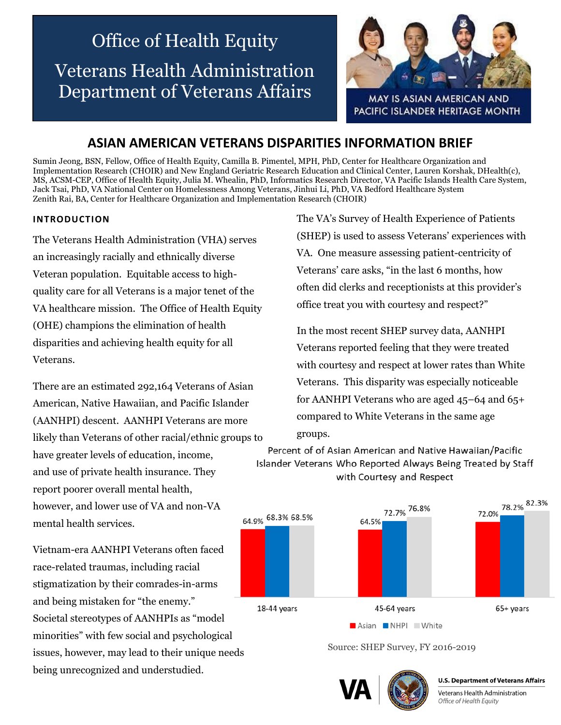# Office of Health Equity Veterans Health Administration Department of Veterans Affairs



MAY IS ASIAN AMERICAN AND PACIFIC ISLANDER HERITAGE MONTH

# **ASIAN AMERICAN VETERANS DISPARITIES INFORMATION BRIEF**

Sumin Jeong, BSN, Fellow, Office of Health Equity, Camilla B. Pimentel, MPH, PhD, Center for Healthcare Organization and Implementation Research (CHOIR) and New England Geriatric Research Education and Clinical Center, Lauren Korshak, DHealth(c), MS, ACSM-CEP, Office of Health Equity, Julia M. Whealin, PhD, Informatics Research Director, VA Pacific Islands Health Care System, Jack Tsai, PhD, VA National Center on Homelessness Among Veterans, Jinhui Li, PhD, VA Bedford Healthcare System Zenith Rai, BA, Center for Healthcare Organization and Implementation Research (CHOIR)

#### **INTRODUCTION**

The Veterans Health Administration (VHA) serves an increasingly racially and ethnically diverse Veteran population. Equitable access to highquality care for all Veterans is a major tenet of the VA healthcare mission. The Office of Health Equity (OHE) champions the elimination of health disparities and achieving health equity for all Veterans.

There are an estimated 292,164 Veterans of Asian American, Native Hawaiian, and Pacific Islander (AANHPI) descent. AANHPI Veterans are more likely than Veterans of other racial/ethnic groups to have greater levels of education, income, and use of private health insurance. They report poorer overall mental health, however, and lower use of VA and non-VA mental health services.

Vietnam-era AANHPI Veterans often faced race-related traumas, including racial stigmatization by their comrades-in-arms and being mistaken for "the enemy." Societal stereotypes of AANHPIs as "model minorities" with few social and psychological issues, however, may lead to their unique needs being unrecognized and understudied.

The VA's Survey of Health Experience of Patients (SHEP) is used to assess Veterans' experiences with VA. One measure assessing patient-centricity of Veterans' care asks, "in the last 6 months, how often did clerks and receptionists at this provider's office treat you with courtesy and respect?"

In the most recent SHEP survey data, AANHPI Veterans reported feeling that they were treated with courtesy and respect at lower rates than White Veterans. This disparity was especially noticeable for AANHPI Veterans who are aged 45–64 and 65+ compared to White Veterans in the same age groups.

Percent of of Asian American and Native Hawaiian/Pacific Islander Veterans Who Reported Always Being Treated by Staff with Courtesy and Respect



Source: SHEP Survey, FY 2016-2019



**U.S. Department of Veterans Affairs** 

Veterans Health Administration Office of Health Equity